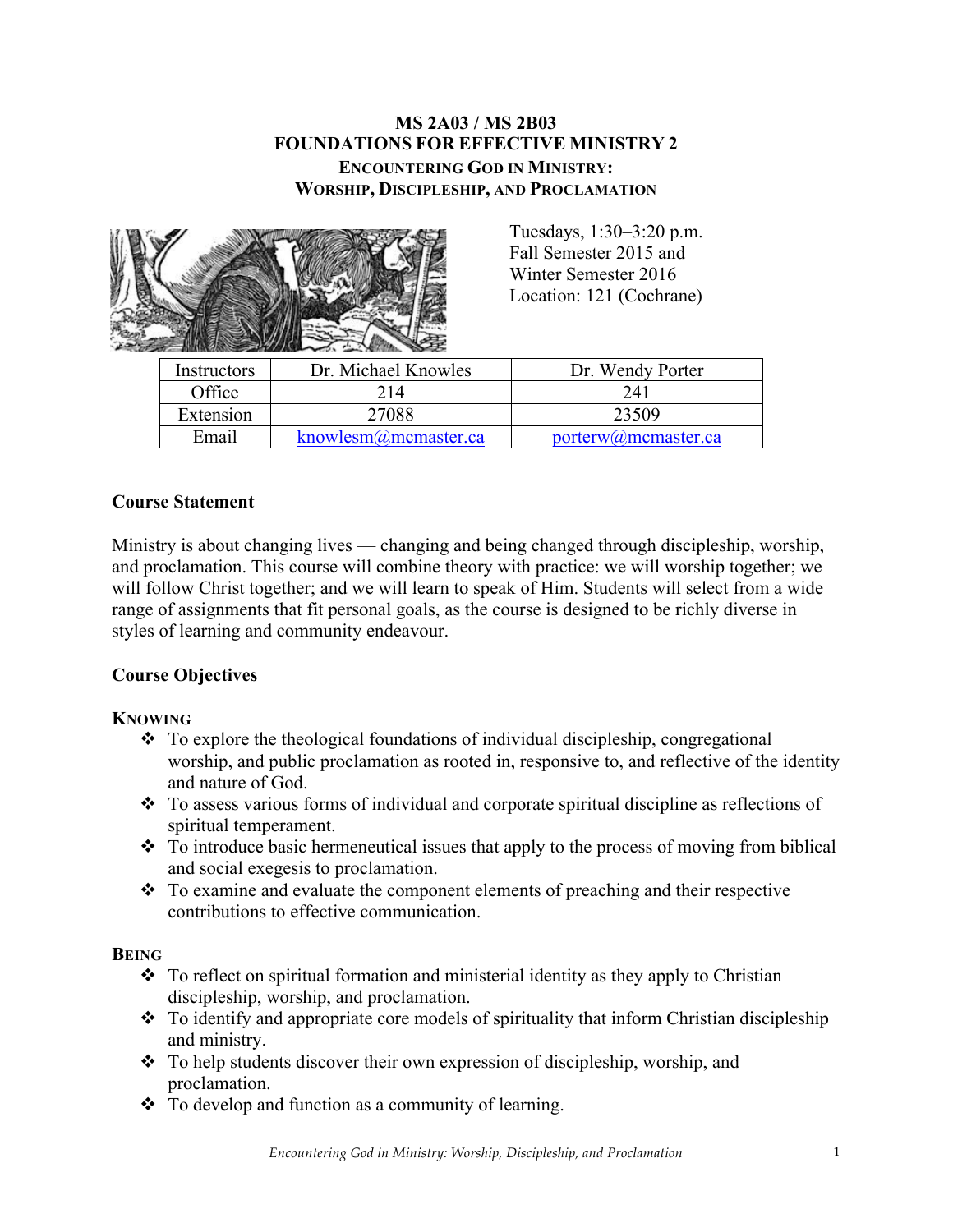## **MS 2A03 / MS 2B03 FOUNDATIONS FOR EFFECTIVE MINISTRY 2 ENCOUNTERING GOD IN MINISTRY: WORSHIP, DISCIPLESHIP, AND PROCLAMATION**



Tuesdays, 1:30–3:20 p.m. Fall Semester 2015 and Winter Semester 2016 Location: 121 (Cochrane)

| Instructors | Dr. Michael Knowles      | Dr. Wendy Porter    |
|-------------|--------------------------|---------------------|
| Office      | 214                      | 24)                 |
| Extension   | 27088                    | 23509               |
| Email       | knowlesm $@$ mcmaster.ca | porterw@mcmaster.ca |

## **Course Statement**

Ministry is about changing lives — changing and being changed through discipleship, worship, and proclamation. This course will combine theory with practice: we will worship together; we will follow Christ together; and we will learn to speak of Him. Students will select from a wide range of assignments that fit personal goals, as the course is designed to be richly diverse in styles of learning and community endeavour.

#### **Course Objectives**

#### **KNOWING**

- $\div$  To explore the theological foundations of individual discipleship, congregational worship, and public proclamation as rooted in, responsive to, and reflective of the identity and nature of God.
- $\cdot$  To assess various forms of individual and corporate spiritual discipline as reflections of spiritual temperament.
- $\cdot$  To introduce basic hermeneutical issues that apply to the process of moving from biblical and social exegesis to proclamation.
- $\cdot$  To examine and evaluate the component elements of preaching and their respective contributions to effective communication.

#### **BEING**

- $\cdot \cdot$  To reflect on spiritual formation and ministerial identity as they apply to Christian discipleship, worship, and proclamation.
- $\cdot$  To identify and appropriate core models of spirituality that inform Christian discipleship and ministry.
- $\triangle$  To help students discover their own expression of discipleship, worship, and proclamation.
- $\bullet$  To develop and function as a community of learning.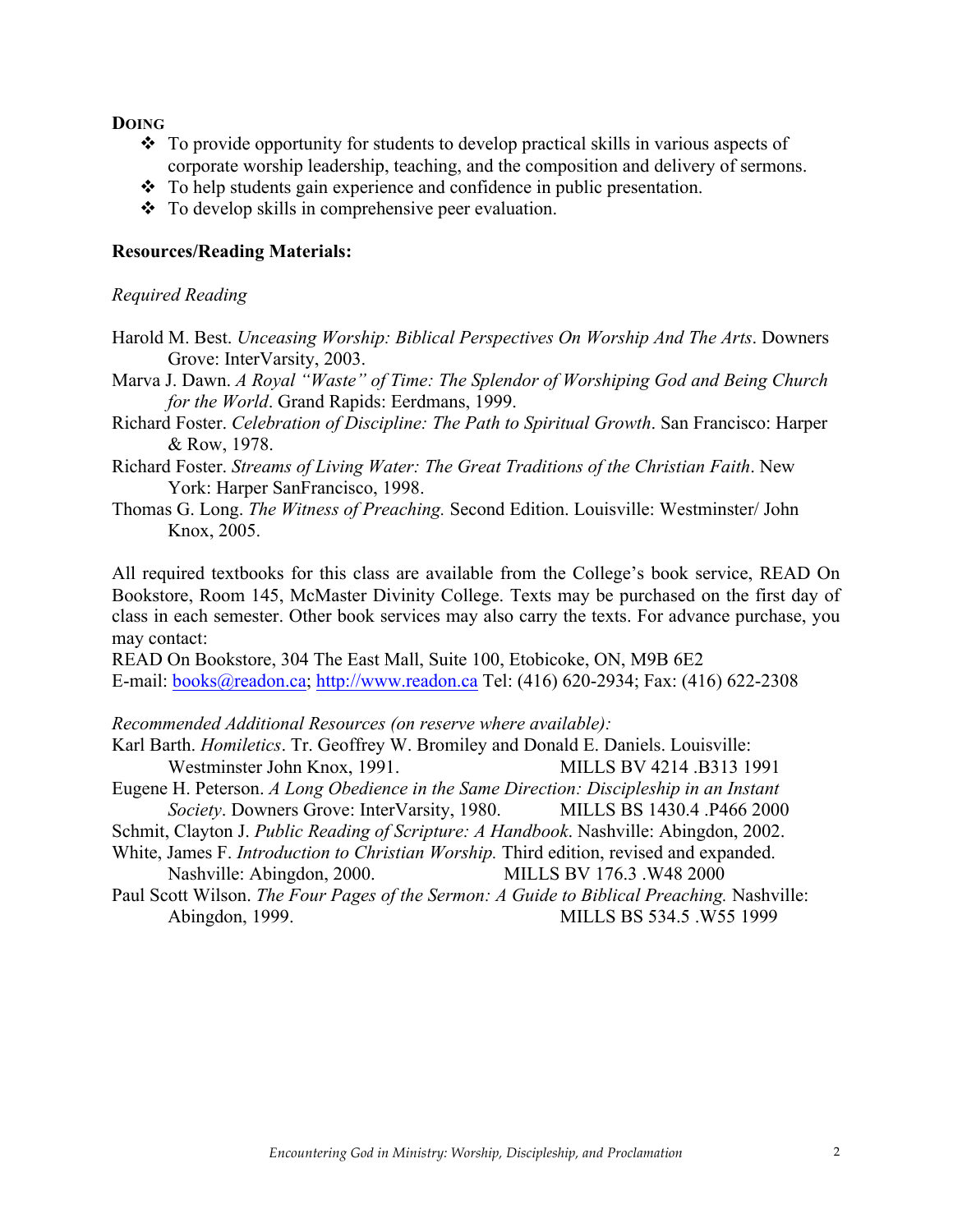**DOING**

- $\cdot$  To provide opportunity for students to develop practical skills in various aspects of corporate worship leadership, teaching, and the composition and delivery of sermons.
- $\cdot \cdot$  To help students gain experience and confidence in public presentation.
- $\bullet$  To develop skills in comprehensive peer evaluation.

## **Resources/Reading Materials:**

#### *Required Reading*

- Harold M. Best. *Unceasing Worship: Biblical Perspectives On Worship And The Arts*. Downers Grove: InterVarsity, 2003.
- Marva J. Dawn. *A Royal "Waste" of Time: The Splendor of Worshiping God and Being Church for the World*. Grand Rapids: Eerdmans, 1999.
- Richard Foster. *Celebration of Discipline: The Path to Spiritual Growth*. San Francisco: Harper & Row, 1978.
- Richard Foster. *Streams of Living Water: The Great Traditions of the Christian Faith*. New York: Harper SanFrancisco, 1998.
- Thomas G. Long. *The Witness of Preaching.* Second Edition. Louisville: Westminster/ John Knox, 2005.

All required textbooks for this class are available from the College's book service, READ On Bookstore, Room 145, McMaster Divinity College. Texts may be purchased on the first day of class in each semester. Other book services may also carry the texts. For advance purchase, you may contact:

READ On Bookstore, 304 The East Mall, Suite 100, Etobicoke, ON, M9B 6E2 E-mail: books@readon.ca; http://www.readon.ca Tel: (416) 620-2934; Fax: (416) 622-2308

#### *Recommended Additional Resources (on reserve where available):*

- Karl Barth. *Homiletics*. Tr. Geoffrey W. Bromiley and Donald E. Daniels. Louisville: Westminster John Knox, 1991. MILLS BV 4214 .B313 1991
- Eugene H. Peterson. *A Long Obedience in the Same Direction: Discipleship in an Instant Society*. Downers Grove: InterVarsity, 1980. MILLS BS 1430.4 .P466 2000
- Schmit, Clayton J. *Public Reading of Scripture: A Handbook*. Nashville: Abingdon, 2002.
- White, James F. *Introduction to Christian Worship.* Third edition, revised and expanded. Nashville: Abingdon, 2000. MILLS BV 176.3 .W48 2000
- Paul Scott Wilson. *The Four Pages of the Sermon: A Guide to Biblical Preaching*. Nashville: Abingdon, 1999. MILLS BS 534.5 .W55 1999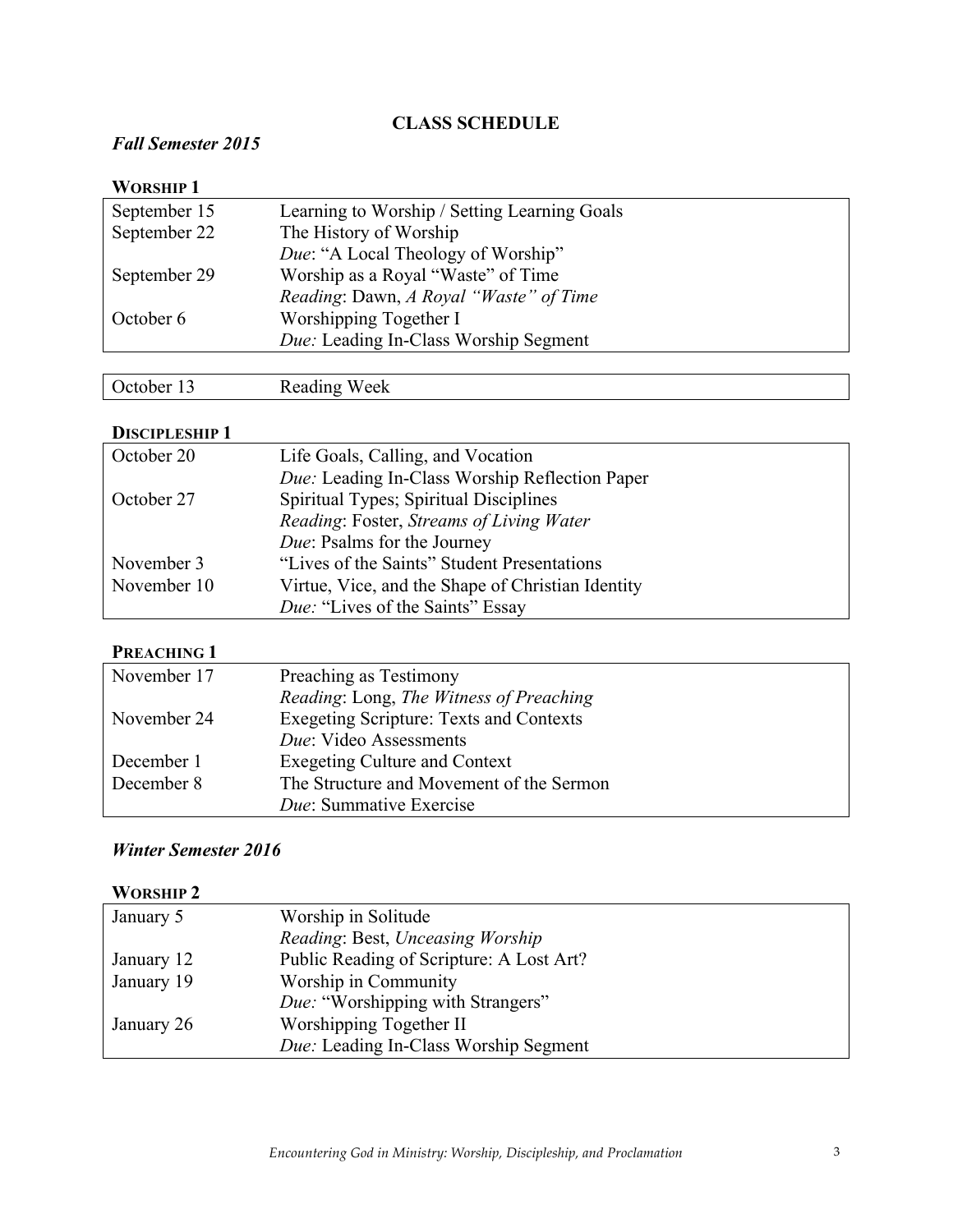# **CLASS SCHEDULE**

# *Fall Semester 2015*

| <b>WORSHIP1</b> |                                              |
|-----------------|----------------------------------------------|
| September 15    | Learning to Worship / Setting Learning Goals |
| September 22    | The History of Worship                       |
|                 | Due: "A Local Theology of Worship"           |
| September 29    | Worship as a Royal "Waste" of Time           |
|                 | Reading: Dawn, A Royal "Waste" of Time       |
| October 6       | Worshipping Together I                       |
|                 | <i>Due:</i> Leading In-Class Worship Segment |
|                 |                                              |

# October 13 Reading Week

## **DISCIPLESHIP 1**

| October 20  | Life Goals, Calling, and Vocation                 |
|-------------|---------------------------------------------------|
|             | Due: Leading In-Class Worship Reflection Paper    |
| October 27  | Spiritual Types; Spiritual Disciplines            |
|             | Reading: Foster, Streams of Living Water          |
|             | Due: Psalms for the Journey                       |
| November 3  | "Lives of the Saints" Student Presentations       |
| November 10 | Virtue, Vice, and the Shape of Christian Identity |
|             | <i>Due:</i> "Lives of the Saints" Essay           |

#### **PREACHING 1**

| November 17 | Preaching as Testimony                         |
|-------------|------------------------------------------------|
|             | Reading: Long, The Witness of Preaching        |
| November 24 | <b>Exegeting Scripture: Texts and Contexts</b> |
|             | Due: Video Assessments                         |
| December 1  | <b>Exegeting Culture and Context</b>           |
| December 8  | The Structure and Movement of the Sermon       |
|             | Due: Summative Exercise                        |

# *Winter Semester 2016*

## **WORSHIP 2**

| January 5  | Worship in Solitude                          |
|------------|----------------------------------------------|
|            | Reading: Best, Unceasing Worship             |
| January 12 | Public Reading of Scripture: A Lost Art?     |
| January 19 | Worship in Community                         |
|            | <i>Due:</i> "Worshipping with Strangers"     |
| January 26 | Worshipping Together II                      |
|            | <i>Due:</i> Leading In-Class Worship Segment |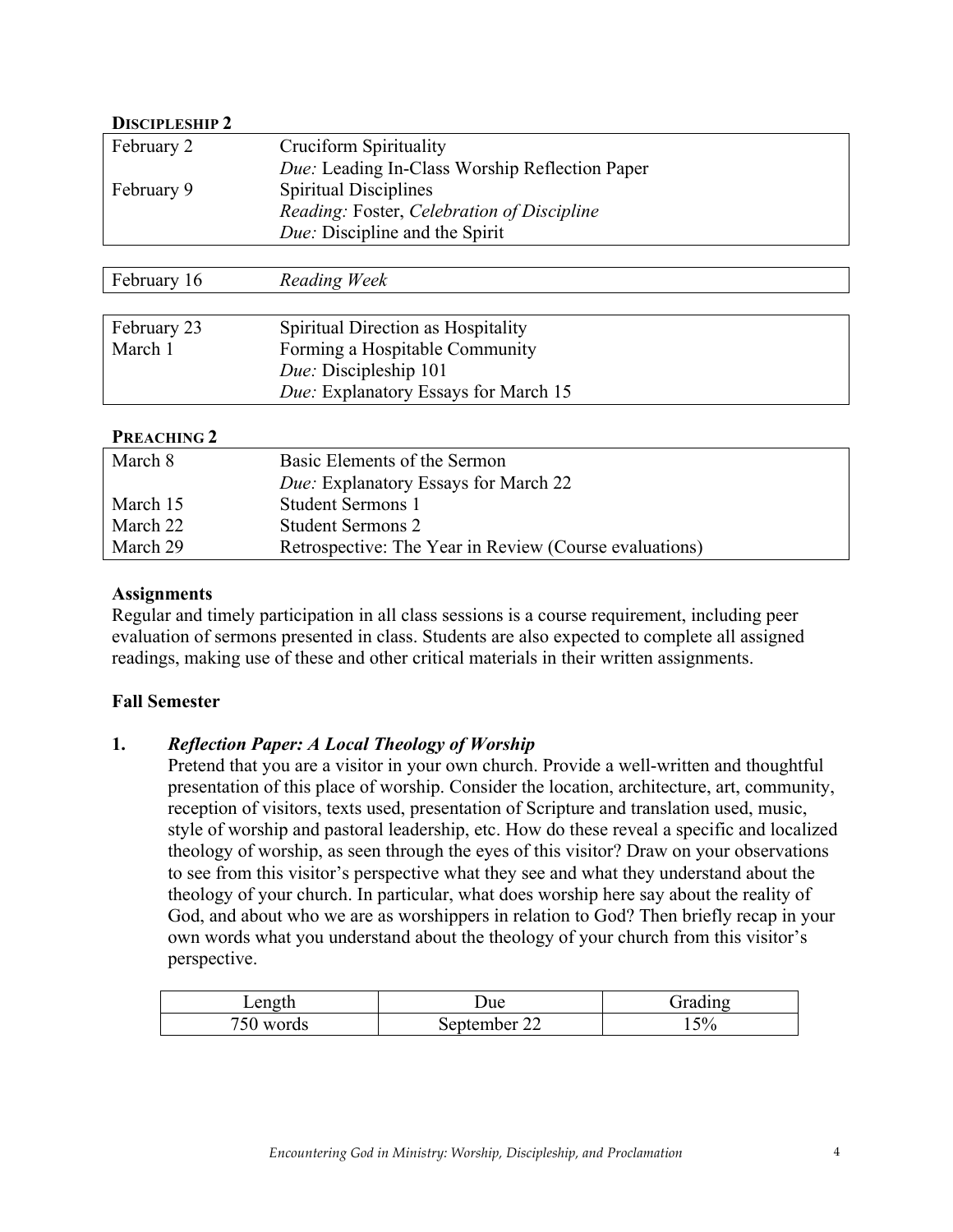## **DISCIPLESHIP 2**

| February 2             | <b>Cruciform Spirituality</b>                          |
|------------------------|--------------------------------------------------------|
|                        | Due: Leading In-Class Worship Reflection Paper         |
| February 9             | <b>Spiritual Disciplines</b>                           |
|                        | Reading: Foster, Celebration of Discipline             |
|                        | Due: Discipline and the Spirit                         |
|                        |                                                        |
| February 16            | Reading Week                                           |
|                        |                                                        |
| February 23            | Spiritual Direction as Hospitality                     |
| March 1                | Forming a Hospitable Community                         |
|                        | Due: Discipleship 101                                  |
|                        | Due: Explanatory Essays for March 15                   |
|                        |                                                        |
| PREACHING <sub>2</sub> |                                                        |
| March 8                | Basic Elements of the Sermon                           |
|                        | Due: Explanatory Essays for March 22                   |
| March 15               | <b>Student Sermons 1</b>                               |
| March 22               | <b>Student Sermons 2</b>                               |
| March 29               | Retrospective: The Year in Review (Course evaluations) |

## **Assignments**

Regular and timely participation in all class sessions is a course requirement, including peer evaluation of sermons presented in class. Students are also expected to complete all assigned readings, making use of these and other critical materials in their written assignments.

#### **Fall Semester**

#### **1.** *Reflection Paper: A Local Theology of Worship*

Pretend that you are a visitor in your own church. Provide a well-written and thoughtful presentation of this place of worship. Consider the location, architecture, art, community, reception of visitors, texts used, presentation of Scripture and translation used, music, style of worship and pastoral leadership, etc. How do these reveal a specific and localized theology of worship, as seen through the eyes of this visitor? Draw on your observations to see from this visitor's perspective what they see and what they understand about the theology of your church. In particular, what does worship here say about the reality of God, and about who we are as worshippers in relation to God? Then briefly recap in your own words what you understand about the theology of your church from this visitor's perspective.

| Length | Jue       | l 1 n or |
|--------|-----------|----------|
| words  | september | $5\%$    |
| υc     | ے بے      |          |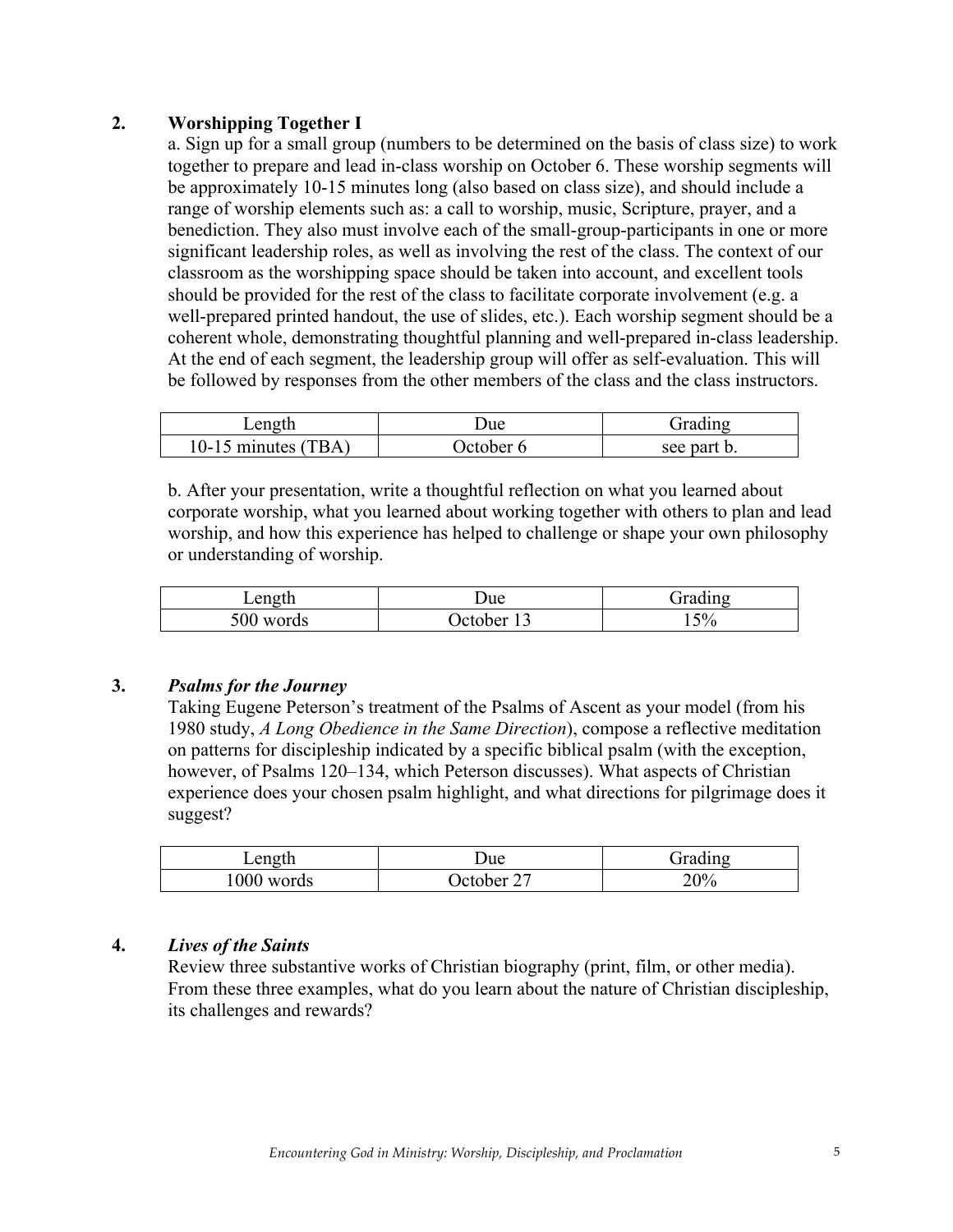## **2. Worshipping Together I**

a. Sign up for a small group (numbers to be determined on the basis of class size) to work together to prepare and lead in-class worship on October 6. These worship segments will be approximately 10-15 minutes long (also based on class size), and should include a range of worship elements such as: a call to worship, music, Scripture, prayer, and a benediction. They also must involve each of the small-group-participants in one or more significant leadership roles, as well as involving the rest of the class. The context of our classroom as the worshipping space should be taken into account, and excellent tools should be provided for the rest of the class to facilitate corporate involvement (e.g. a well-prepared printed handout, the use of slides, etc.). Each worship segment should be a coherent whole, demonstrating thoughtful planning and well-prepared in-class leadership. At the end of each segment, the leadership group will offer as self-evaluation. This will be followed by responses from the other members of the class and the class instructors.

| Length                  | Jue      | $\bullet$<br>. iradıno |
|-------------------------|----------|------------------------|
| TRA<br>$10-$<br>minutes | ) ctober | see part b.            |

b. After your presentation, write a thoughtful reflection on what you learned about corporate worship, what you learned about working together with others to plan and lead worship, and how this experience has helped to challenge or shape your own philosophy or understanding of worship.

| Length       | Due     | . .<br>$-$ radin $\sigma$ |
|--------------|---------|---------------------------|
| 500<br>words | Jefober | 5%<br>$ \sim$ $\prime$    |

## **3.** *Psalms for the Journey*

Taking Eugene Peterson's treatment of the Psalms of Ascent as your model (from his 1980 study, *A Long Obedience in the Same Direction*), compose a reflective meditation on patterns for discipleship indicated by a specific biblical psalm (with the exception, however, of Psalms 120–134, which Peterson discusses). What aspects of Christian experience does your chosen psalm highlight, and what directions for pilgrimage does it suggest?

| Length     | Due –         | Grading |
|------------|---------------|---------|
| 1000 words | ∼<br>) ctober | 20%     |

## **4.** *Lives of the Saints*

Review three substantive works of Christian biography (print, film, or other media). From these three examples, what do you learn about the nature of Christian discipleship, its challenges and rewards?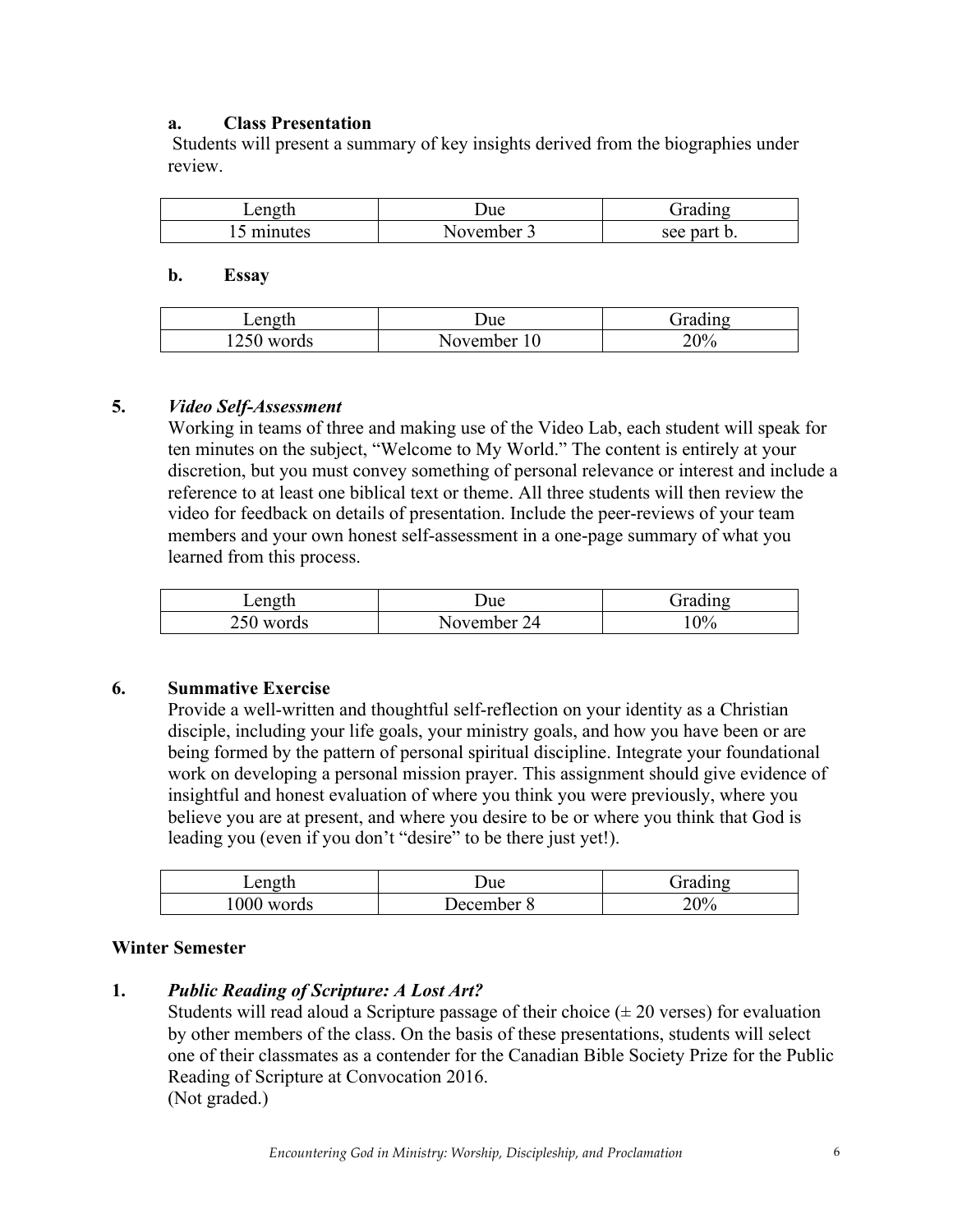## **a. Class Presentation**

Students will present a summary of key insights derived from the biographies under review.

| Length  | ⊃ue            | $1n\sigma$<br>$-$ |
|---------|----------------|-------------------|
| minutes | ovember<br>N 6 | see part b.       |

#### **b. Essay**

| Length             | Jue      | $\rightarrow$<br>$-1$<br>$\sim$ |
|--------------------|----------|---------------------------------|
| 1250<br>vords<br>W | November | 20%                             |

#### **5.** *Video Self-Assessment*

Working in teams of three and making use of the Video Lab, each student will speak for ten minutes on the subject, "Welcome to My World." The content is entirely at your discretion, but you must convey something of personal relevance or interest and include a reference to at least one biblical text or theme. All three students will then review the video for feedback on details of presentation. Include the peer-reviews of your team members and your own honest self-assessment in a one-page summary of what you learned from this process.

| ength<br>$L$ ule | Due –    | $\cdot$ $\cdot$<br>$-$<br>$1n\sigma$ |
|------------------|----------|--------------------------------------|
| n <i>r</i> n     | November | $0\%$                                |
| 250 words        | 24       | $\cdot$ v.                           |

## **6. Summative Exercise**

Provide a well-written and thoughtful self-reflection on your identity as a Christian disciple, including your life goals, your ministry goals, and how you have been or are being formed by the pattern of personal spiritual discipline. Integrate your foundational work on developing a personal mission prayer. This assignment should give evidence of insightful and honest evaluation of where you think you were previously, where you believe you are at present, and where you desire to be or where you think that God is leading you (even if you don't "desire" to be there just yet!).

| Length       | Due                 | $\rightarrow$<br>اس جمعن<br>$1n\sigma$ |
|--------------|---------------------|----------------------------------------|
| 000<br>words | December<br>$\circ$ | 20%                                    |

#### **Winter Semester**

#### **1.** *Public Reading of Scripture: A Lost Art?*

Students will read aloud a Scripture passage of their choice  $(\pm 20$  verses) for evaluation by other members of the class. On the basis of these presentations, students will select one of their classmates as a contender for the Canadian Bible Society Prize for the Public Reading of Scripture at Convocation 2016. (Not graded.)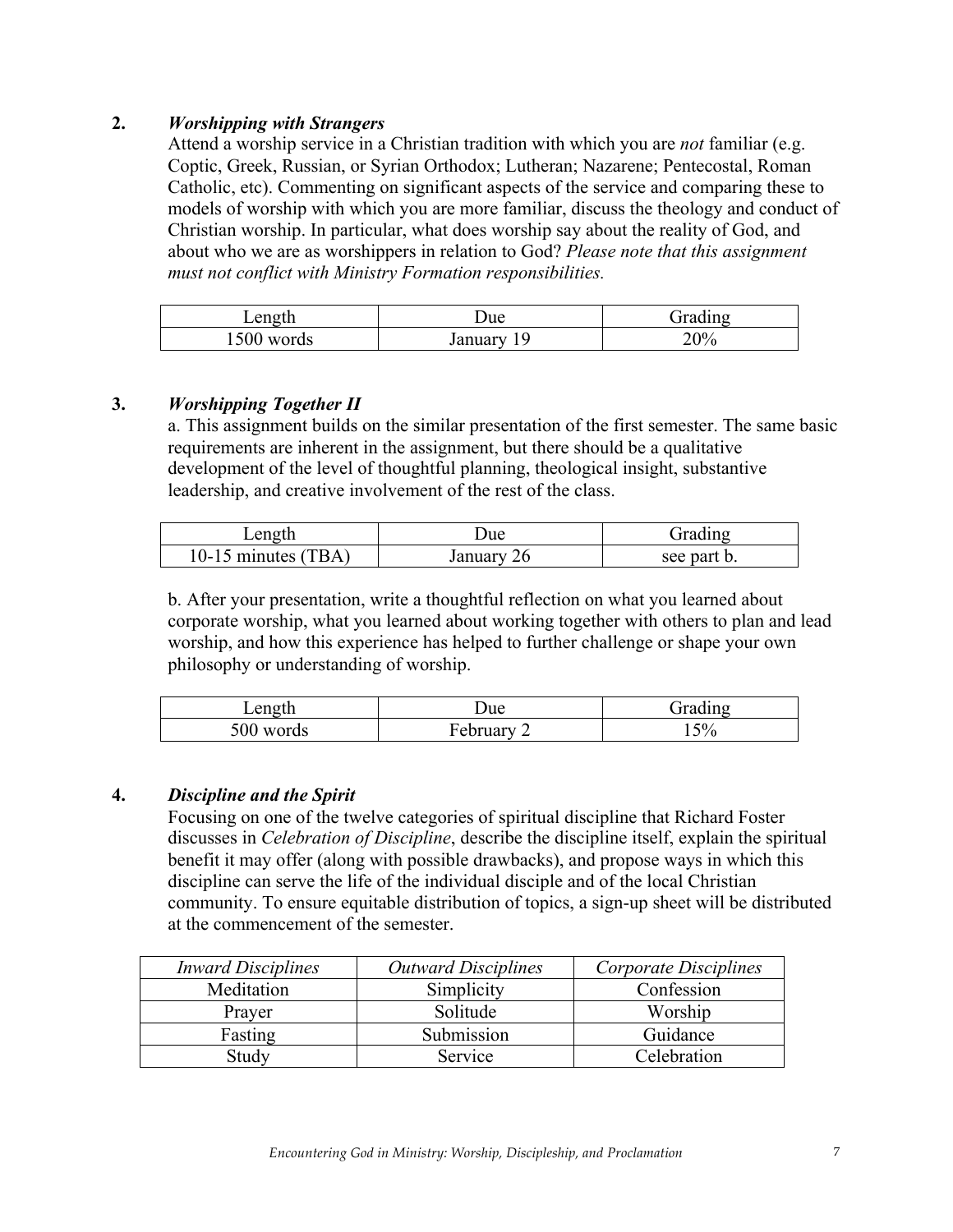# **2.** *Worshipping with Strangers*

Attend a worship service in a Christian tradition with which you are *not* familiar (e.g. Coptic, Greek, Russian, or Syrian Orthodox; Lutheran; Nazarene; Pentecostal, Roman Catholic, etc). Commenting on significant aspects of the service and comparing these to models of worship with which you are more familiar, discuss the theology and conduct of Christian worship. In particular, what does worship say about the reality of God, and about who we are as worshippers in relation to God? *Please note that this assignment must not conflict with Ministry Formation responsibilities.* 

| Length                       | ⊃ue             | $\cdot$<br>$-$<br>$1n\sigma$ |
|------------------------------|-----------------|------------------------------|
| 500<br>ords<br>$\mathcal{N}$ | <i>s</i> anuary | 20%<br>ZU.                   |

## **3.** *Worshipping Together II*

a. This assignment builds on the similar presentation of the first semester. The same basic requirements are inherent in the assignment, but there should be a qualitative development of the level of thoughtful planning, theological insight, substantive leadership, and creative involvement of the rest of the class.

| Length                   | Jue           | dradıng     |
|--------------------------|---------------|-------------|
| TBA<br>10-15 minutes $($ | 26<br>January | see part b. |

b. After your presentation, write a thoughtful reflection on what you learned about corporate worship, what you learned about working together with others to plan and lead worship, and how this experience has helped to further challenge or shape your own philosophy or understanding of worship.

| Length          | ⊃ue              | $\rightarrow$<br>$\mathbf{m}$ |
|-----------------|------------------|-------------------------------|
| 500<br>ds.<br>W | ᠇<br>uary<br>-en | 5%<br>ັ                       |

## **4.** *Discipline and the Spirit*

Focusing on one of the twelve categories of spiritual discipline that Richard Foster discusses in *Celebration of Discipline*, describe the discipline itself, explain the spiritual benefit it may offer (along with possible drawbacks), and propose ways in which this discipline can serve the life of the individual disciple and of the local Christian community. To ensure equitable distribution of topics, a sign-up sheet will be distributed at the commencement of the semester.

| <b>Inward Disciplines</b> | <b>Outward Disciplines</b> | Corporate Disciplines |
|---------------------------|----------------------------|-----------------------|
| Meditation                | Simplicity                 | Confession            |
| Prayer                    | Solitude                   | Worship               |
| Fasting                   | Submission                 | Guidance              |
| Studv                     | Service                    | Celebration           |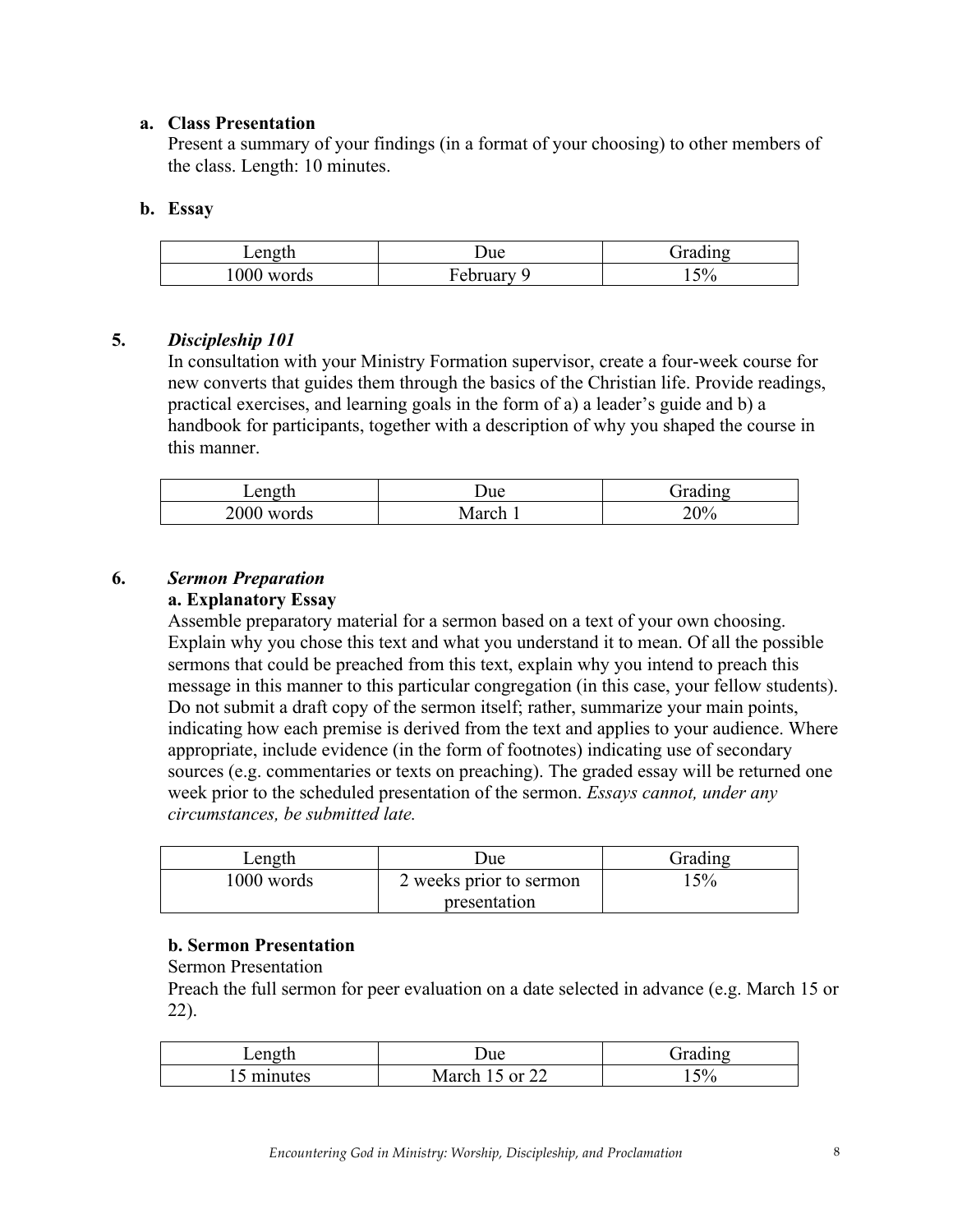#### **a. Class Presentation**

Present a summary of your findings (in a format of your choosing) to other members of the class. Length: 10 minutes.

#### **b. Essay**

| Length       | Due                | . .<br>11 n o |
|--------------|--------------------|---------------|
| 000<br>words | ┳<br>February<br>ີ | 5%<br>1 J J   |

#### **5.** *Discipleship 101*

In consultation with your Ministry Formation supervisor, create a four-week course for new converts that guides them through the basics of the Christian life. Provide readings, practical exercises, and learning goals in the form of a) a leader's guide and b) a handbook for participants, together with a description of why you shaped the course in this manner.

| Length        | ⊃ue  | . .<br>$r$ adino<br>иι |
|---------------|------|------------------------|
| 2000<br>words | arch | 20%                    |

## **6.** *Sermon Preparation*

#### **a. Explanatory Essay**

Assemble preparatory material for a sermon based on a text of your own choosing. Explain why you chose this text and what you understand it to mean. Of all the possible sermons that could be preached from this text, explain why you intend to preach this message in this manner to this particular congregation (in this case, your fellow students). Do not submit a draft copy of the sermon itself; rather, summarize your main points, indicating how each premise is derived from the text and applies to your audience. Where appropriate, include evidence (in the form of footnotes) indicating use of secondary sources (e.g. commentaries or texts on preaching). The graded essay will be returned one week prior to the scheduled presentation of the sermon. *Essays cannot, under any circumstances, be submitted late.*

| Length     | Jue                     | Grading |
|------------|-------------------------|---------|
| 1000 words | 2 weeks prior to sermon | 5%      |
|            | presentation            |         |

#### **b. Sermon Presentation**

Sermon Presentation

Preach the full sermon for peer evaluation on a date selected in advance (e.g. March 15 or 22).

| Length         | ⊃ue                                         | $\rightarrow$<br><b>Trading</b><br>21 |
|----------------|---------------------------------------------|---------------------------------------|
| minutes<br>. . | $\cdot$ or $2^{\circ}$<br>March<br><u>_</u> | 50/<br>Έ<br>1 J ,                     |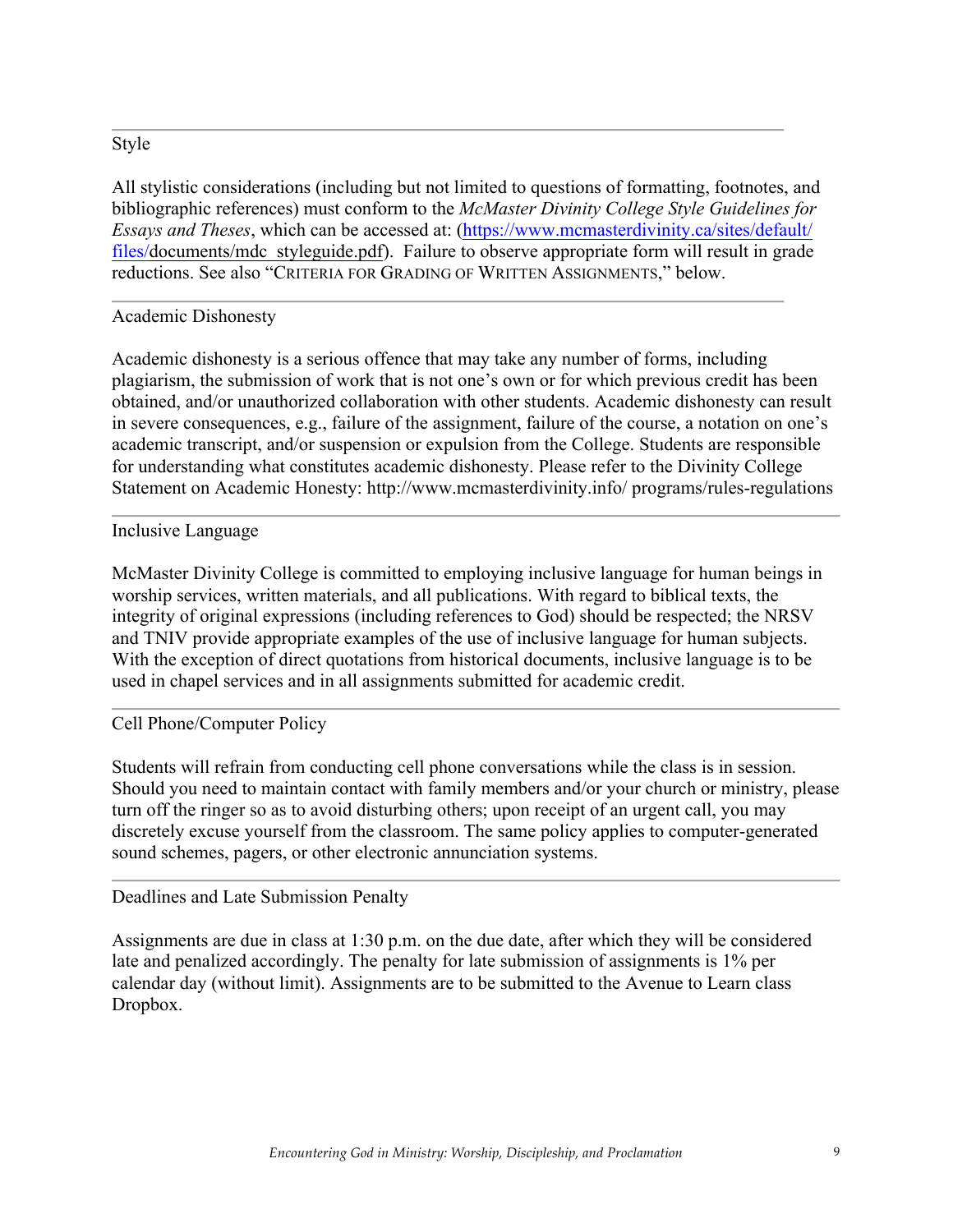#### Style

All stylistic considerations (including but not limited to questions of formatting, footnotes, and bibliographic references) must conform to the *McMaster Divinity College Style Guidelines for Essays and Theses*, which can be accessed at: (https://www.mcmasterdivinity.ca/sites/default/ files/documents/mdc\_styleguide.pdf). Failure to observe appropriate form will result in grade reductions. See also "CRITERIA FOR GRADING OF WRITTEN ASSIGNMENTS," below.

## Academic Dishonesty

Academic dishonesty is a serious offence that may take any number of forms, including plagiarism, the submission of work that is not one's own or for which previous credit has been obtained, and/or unauthorized collaboration with other students. Academic dishonesty can result in severe consequences, e.g., failure of the assignment, failure of the course, a notation on one's academic transcript, and/or suspension or expulsion from the College. Students are responsible for understanding what constitutes academic dishonesty. Please refer to the Divinity College Statement on Academic Honesty: http://www.mcmasterdivinity.info/ programs/rules-regulations

#### Inclusive Language

McMaster Divinity College is committed to employing inclusive language for human beings in worship services, written materials, and all publications. With regard to biblical texts, the integrity of original expressions (including references to God) should be respected; the NRSV and TNIV provide appropriate examples of the use of inclusive language for human subjects. With the exception of direct quotations from historical documents, inclusive language is to be used in chapel services and in all assignments submitted for academic credit.

#### Cell Phone/Computer Policy

Students will refrain from conducting cell phone conversations while the class is in session. Should you need to maintain contact with family members and/or your church or ministry, please turn off the ringer so as to avoid disturbing others; upon receipt of an urgent call, you may discretely excuse yourself from the classroom. The same policy applies to computer-generated sound schemes, pagers, or other electronic annunciation systems.

#### Deadlines and Late Submission Penalty

Assignments are due in class at 1:30 p.m. on the due date, after which they will be considered late and penalized accordingly. The penalty for late submission of assignments is 1% per calendar day (without limit). Assignments are to be submitted to the Avenue to Learn class Dropbox.